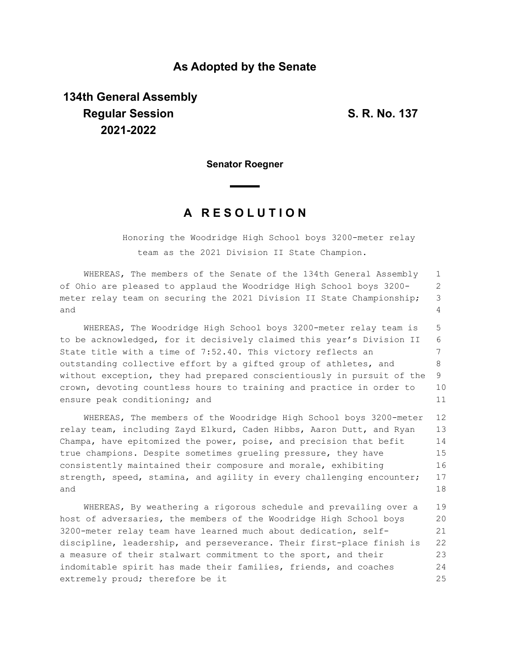## **As Adopted by the Senate**

## **134th General Assembly Regular Session S. R. No. 137 2021-2022**

**Senator Roegner**

## **A R E S O L U T I O N**

Honoring the Woodridge High School boys 3200-meter relay team as the 2021 Division II State Champion.

WHEREAS, The members of the Senate of the 134th General Assembly of Ohio are pleased to applaud the Woodridge High School boys 3200 meter relay team on securing the 2021 Division II State Championship; and 1 2 3  $\Delta$ 

WHEREAS, The Woodridge High School boys 3200-meter relay team is to be acknowledged, for it decisively claimed this year's Division II State title with a time of 7:52.40. This victory reflects an outstanding collective effort by a gifted group of athletes, and without exception, they had prepared conscientiously in pursuit of the crown, devoting countless hours to training and practice in order to ensure peak conditioning; and 5 6 7 8 9 10 11

WHEREAS, The members of the Woodridge High School boys 3200-meter relay team, including Zayd Elkurd, Caden Hibbs, Aaron Dutt, and Ryan Champa, have epitomized the power, poise, and precision that befit true champions. Despite sometimes grueling pressure, they have consistently maintained their composure and morale, exhibiting strength, speed, stamina, and agility in every challenging encounter; and 12 13 14 15 16 17 18

WHEREAS, By weathering a rigorous schedule and prevailing over a host of adversaries, the members of the Woodridge High School boys 3200-meter relay team have learned much about dedication, selfdiscipline, leadership, and perseverance. Their first-place finish is a measure of their stalwart commitment to the sport, and their indomitable spirit has made their families, friends, and coaches extremely proud; therefore be it 19 20 21 22 23 24 25